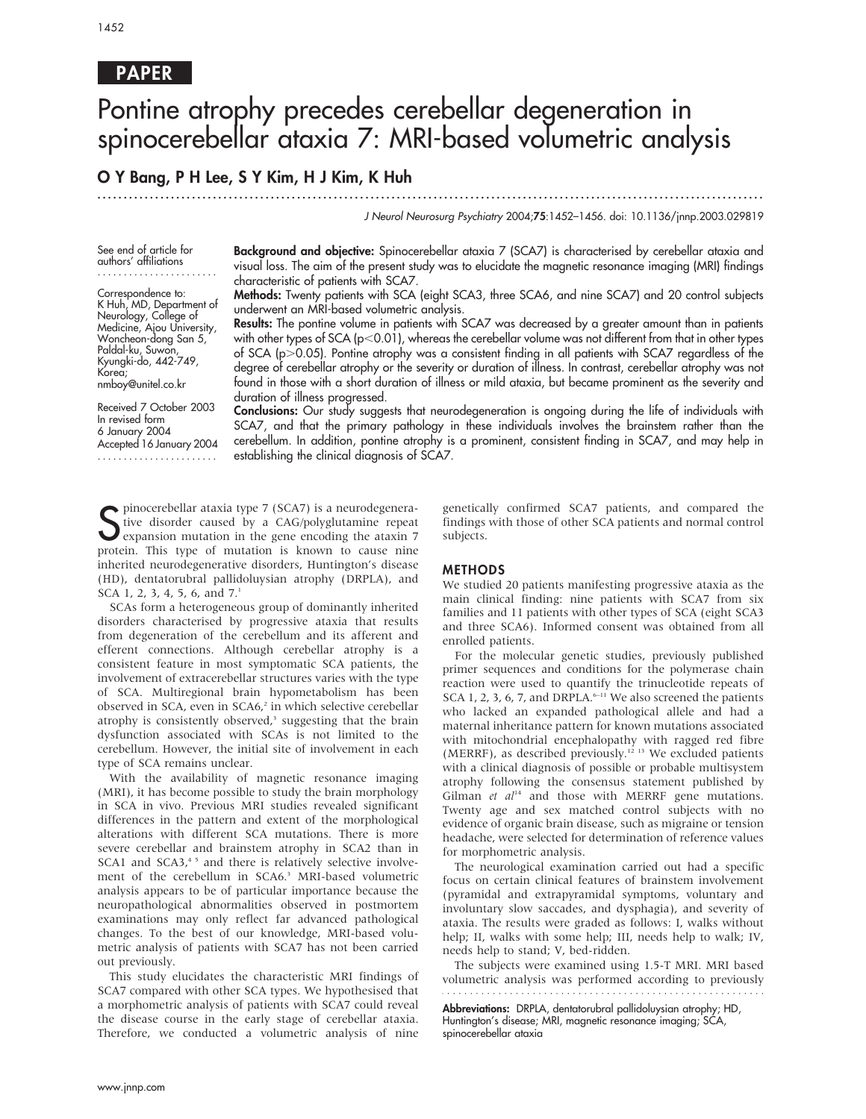# PAPER

# Pontine atrophy precedes cerebellar degeneration in spinocerebellar ataxia 7: MRI-based volumetric analysis

# O Y Bang, P H Lee, S Y Kim, H J Kim, K Huh

...............................................................................................................................

J Neurol Neurosurg Psychiatry 2004;75:1452–1456. doi: 10.1136/jnnp.2003.029819

See end of article for authors' affiliations .......................

Correspondence to: K Huh, MD, Department of Neurology, College of Medicine, Ajou University, Woncheon-dong San 5, Paldal-ku, Suwon, Kyungki-do, 442-749,

nmboy@unitel.co.kr

Korea;

Background and objective: Spinocerebellar ataxia 7 (SCA7) is characterised by cerebellar ataxia and visual loss. The aim of the present study was to elucidate the magnetic resonance imaging (MRI) findings characteristic of patients with SCA7.

Methods: Twenty patients with SCA (eight SCA3, three SCA6, and nine SCA7) and 20 control subjects underwent an MRI-based volumetric analysis.

Results: The pontine volume in patients with SCA7 was decreased by a greater amount than in patients with other types of SCA ( $p<0.01$ ), whereas the cerebellar volume was not different from that in other types of SCA (p.0.05). Pontine atrophy was a consistent finding in all patients with SCA7 regardless of the degree of cerebellar atrophy or the severity or duration of illness. In contrast, cerebellar atrophy was not found in those with a short duration of illness or mild ataxia, but became prominent as the severity and duration of illness progressed.

Received 7 October 2003 In revised form 6 January 2004 Accepted 16 January 2004

Conclusions: Our study suggests that neurodegeneration is ongoing during the life of individuals with SCA7, and that the primary pathology in these individuals involves the brainstem rather than the cerebellum. In addition, pontine atrophy is a prominent, consistent finding in SCA7, and may help in establishing the clinical diagnosis of SCA7.

Supercebellar ataxia type 7 (SCA7) is a neurodegenera-<br>Stive disorder caused by a CAG/polyglutamine repeat<br>expansion mutation in the gene encoding the ataxin 7<br>prestain. This time of mutation is known to squee nine pinocerebellar ataxia type 7 (SCA7) is a neurodegenerative disorder caused by a CAG/polyglutamine repeat protein. This type of mutation is known to cause nine inherited neurodegenerative disorders, Huntington's disease (HD), dentatorubral pallidoluysian atrophy (DRPLA), and SCA 1, 2, 3, 4, 5, 6, and  $7<sup>1</sup>$ 

SCAs form a heterogeneous group of dominantly inherited disorders characterised by progressive ataxia that results from degeneration of the cerebellum and its afferent and efferent connections. Although cerebellar atrophy is a consistent feature in most symptomatic SCA patients, the involvement of extracerebellar structures varies with the type of SCA. Multiregional brain hypometabolism has been observed in SCA, even in SCA6,<sup>2</sup> in which selective cerebellar atrophy is consistently observed,<sup>3</sup> suggesting that the brain dysfunction associated with SCAs is not limited to the cerebellum. However, the initial site of involvement in each type of SCA remains unclear.

With the availability of magnetic resonance imaging (MRI), it has become possible to study the brain morphology in SCA in vivo. Previous MRI studies revealed significant differences in the pattern and extent of the morphological alterations with different SCA mutations. There is more severe cerebellar and brainstem atrophy in SCA2 than in SCA1 and SCA3,<sup>45</sup> and there is relatively selective involvement of the cerebellum in SCA6.<sup>3</sup> MRI-based volumetric analysis appears to be of particular importance because the neuropathological abnormalities observed in postmortem examinations may only reflect far advanced pathological changes. To the best of our knowledge, MRI-based volumetric analysis of patients with SCA7 has not been carried out previously.

This study elucidates the characteristic MRI findings of SCA7 compared with other SCA types. We hypothesised that a morphometric analysis of patients with SCA7 could reveal the disease course in the early stage of cerebellar ataxia. Therefore, we conducted a volumetric analysis of nine genetically confirmed SCA7 patients, and compared the findings with those of other SCA patients and normal control subjects.

# METHODS

We studied 20 patients manifesting progressive ataxia as the main clinical finding: nine patients with SCA7 from six families and 11 patients with other types of SCA (eight SCA3 and three SCA6). Informed consent was obtained from all enrolled patients.

For the molecular genetic studies, previously published primer sequences and conditions for the polymerase chain reaction were used to quantify the trinucleotide repeats of SCA 1, 2, 3, 6, 7, and DRPLA. $6-11$  We also screened the patients who lacked an expanded pathological allele and had a maternal inheritance pattern for known mutations associated with mitochondrial encephalopathy with ragged red fibre (MERRF), as described previously.12 13 We excluded patients with a clinical diagnosis of possible or probable multisystem atrophy following the consensus statement published by Gilman et  $al^{14}$  and those with MERRF gene mutations. Twenty age and sex matched control subjects with no evidence of organic brain disease, such as migraine or tension headache, were selected for determination of reference values for morphometric analysis.

The neurological examination carried out had a specific focus on certain clinical features of brainstem involvement (pyramidal and extrapyramidal symptoms, voluntary and involuntary slow saccades, and dysphagia), and severity of ataxia. The results were graded as follows: I, walks without help; II, walks with some help; III, needs help to walk; IV, needs help to stand; V, bed-ridden.

The subjects were examined using 1.5-T MRI. MRI based volumetric analysis was performed according to previously

Abbreviations: DRPLA, dentatorubral pallidoluysian atrophy; HD, Huntington's disease; MRI, magnetic resonance imaging; SCA, spinocerebellar ataxia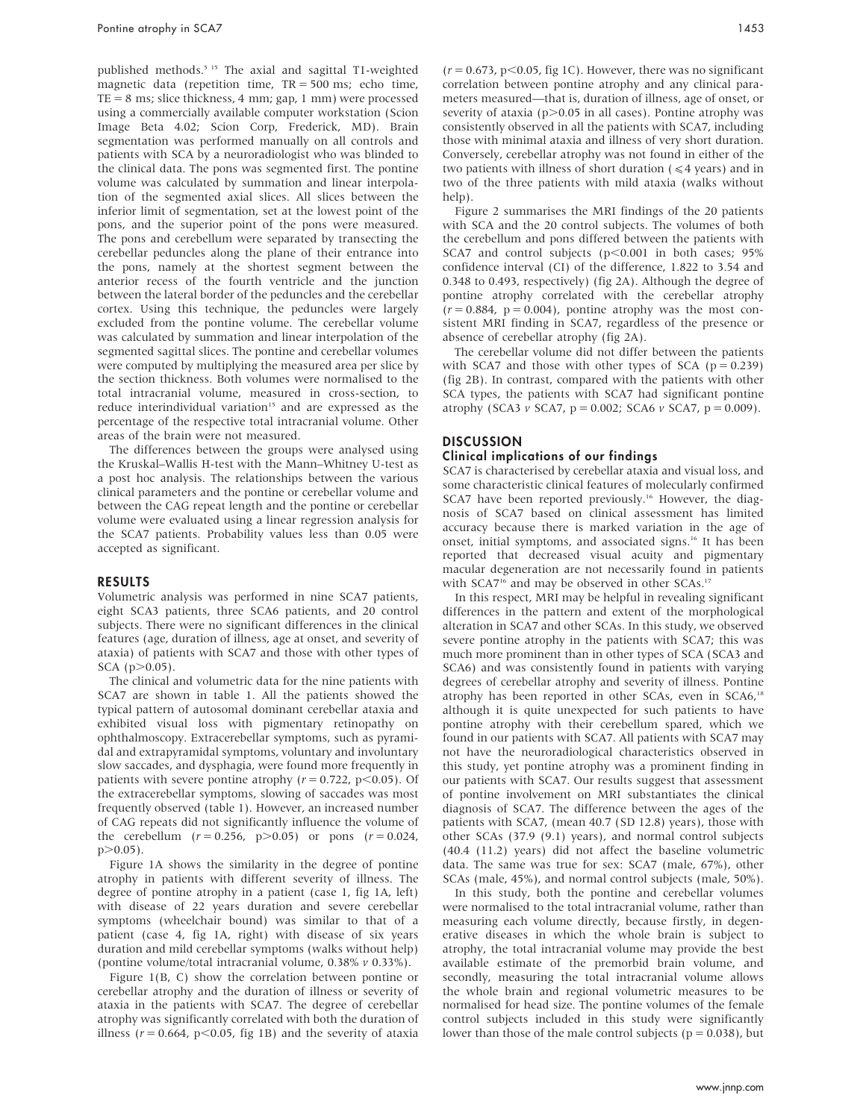published methods.5 15 The axial and sagittal T1-weighted magnetic data (repetition time, TR = 500 ms; echo time,  $TE = 8$  ms; slice thickness, 4 mm; gap, 1 mm) were processed using a commercially available computer workstation (Scion Image Beta 4.02; Scion Corp, Frederick, MD). Brain segmentation was performed manually on all controls and patients with SCA by a neuroradiologist who was blinded to the clinical data. The pons was segmented first. The pontine volume was calculated by summation and linear interpolation of the segmented axial slices. All slices between the inferior limit of segmentation, set at the lowest point of the pons, and the superior point of the pons were measured. The pons and cerebellum were separated by transecting the cerebellar peduncles along the plane of their entrance into the pons, namely at the shortest segment between the anterior recess of the fourth ventricle and the junction between the lateral border of the peduncles and the cerebellar cortex. Using this technique, the peduncles were largely excluded from the pontine volume. The cerebellar volume was calculated by summation and linear interpolation of the segmented sagittal slices. The pontine and cerebellar volumes were computed by multiplying the measured area per slice by the section thickness. Both volumes were normalised to the total intracranial volume, measured in cross-section, to reduce interindividual variation<sup>15</sup> and are expressed as the percentage of the respective total intracranial volume. Other areas of the brain were not measured.

The differences between the groups were analysed using the Kruskal–Wallis H-test with the Mann–Whitney U-test as a post hoc analysis. The relationships between the various clinical parameters and the pontine or cerebellar volume and between the CAG repeat length and the pontine or cerebellar volume were evaluated using a linear regression analysis for the SCA7 patients. Probability values less than 0.05 were accepted as significant.

# RESULTS

Volumetric analysis was performed in nine SCA7 patients, eight SCA3 patients, three SCA6 patients, and 20 control subjects. There were no significant differences in the clinical features (age, duration of illness, age at onset, and severity of ataxia) of patients with SCA7 and those with other types of  $SCA (p > 0.05)$ .

The clinical and volumetric data for the nine patients with SCA7 are shown in table 1. All the patients showed the typical pattern of autosomal dominant cerebellar ataxia and exhibited visual loss with pigmentary retinopathy on ophthalmoscopy. Extracerebellar symptoms, such as pyramidal and extrapyramidal symptoms, voluntary and involuntary slow saccades, and dysphagia, were found more frequently in patients with severe pontine atrophy  $(r = 0.722, p < 0.05)$ . Of the extracerebellar symptoms, slowing of saccades was most frequently observed (table 1). However, an increased number of CAG repeats did not significantly influence the volume of the cerebellum  $(r = 0.256, p > 0.05)$  or pons  $(r = 0.024,$  $p > 0.05$ ).

Figure 1A shows the similarity in the degree of pontine atrophy in patients with different severity of illness. The degree of pontine atrophy in a patient (case 1, fig 1A, left) with disease of 22 years duration and severe cerebellar symptoms (wheelchair bound) was similar to that of a patient (case 4, fig 1A, right) with disease of six years duration and mild cerebellar symptoms (walks without help) (pontine volume/total intracranial volume, 0.38% v 0.33%).

Figure 1(B, C) show the correlation between pontine or cerebellar atrophy and the duration of illness or severity of ataxia in the patients with SCA7. The degree of cerebellar atrophy was significantly correlated with both the duration of illness ( $r = 0.664$ ,  $p < 0.05$ , fig 1B) and the severity of ataxia  $(r = 0.673, p < 0.05,$  fig 1C). However, there was no significant correlation between pontine atrophy and any clinical parameters measured—that is, duration of illness, age of onset, or severity of ataxia ( $p$  $>$ 0.05 in all cases). Pontine atrophy was consistently observed in all the patients with SCA7, including those with minimal ataxia and illness of very short duration. Conversely, cerebellar atrophy was not found in either of the two patients with illness of short duration ( $\leq 4$  years) and in two of the three patients with mild ataxia (walks without help).

Figure 2 summarises the MRI findings of the 20 patients with SCA and the 20 control subjects. The volumes of both the cerebellum and pons differed between the patients with SCA7 and control subjects  $(p<0.001$  in both cases; 95% confidence interval (CI) of the difference, 1.822 to 3.54 and 0.348 to 0.493, respectively) (fig 2A). Although the degree of pontine atrophy correlated with the cerebellar atrophy  $(r = 0.884, p = 0.004)$ , pontine atrophy was the most consistent MRI finding in SCA7, regardless of the presence or absence of cerebellar atrophy (fig 2A).

The cerebellar volume did not differ between the patients with SCA7 and those with other types of SCA ( $p = 0.239$ ) (fig 2B). In contrast, compared with the patients with other SCA types, the patients with SCA7 had significant pontine atrophy (SCA3  $v$  SCA7, p = 0.002; SCA6  $v$  SCA7, p = 0.009).

# **DISCUSSION**

# Clinical implications of our findings

SCA7 is characterised by cerebellar ataxia and visual loss, and some characteristic clinical features of molecularly confirmed SCA7 have been reported previously.<sup>16</sup> However, the diagnosis of SCA7 based on clinical assessment has limited accuracy because there is marked variation in the age of onset, initial symptoms, and associated signs.<sup>16</sup> It has been reported that decreased visual acuity and pigmentary macular degeneration are not necessarily found in patients with SCA7<sup>16</sup> and may be observed in other SCAs.<sup>17</sup>

In this respect, MRI may be helpful in revealing significant differences in the pattern and extent of the morphological alteration in SCA7 and other SCAs. In this study, we observed severe pontine atrophy in the patients with SCA7; this was much more prominent than in other types of SCA (SCA3 and SCA6) and was consistently found in patients with varying degrees of cerebellar atrophy and severity of illness. Pontine atrophy has been reported in other SCAs, even in SCA6,<sup>18</sup> although it is quite unexpected for such patients to have pontine atrophy with their cerebellum spared, which we found in our patients with SCA7. All patients with SCA7 may not have the neuroradiological characteristics observed in this study, yet pontine atrophy was a prominent finding in our patients with SCA7. Our results suggest that assessment of pontine involvement on MRI substantiates the clinical diagnosis of SCA7. The difference between the ages of the patients with SCA7, (mean 40.7 (SD 12.8) years), those with other SCAs (37.9 (9.1) years), and normal control subjects (40.4 (11.2) years) did not affect the baseline volumetric data. The same was true for sex: SCA7 (male, 67%), other SCAs (male, 45%), and normal control subjects (male, 50%).

In this study, both the pontine and cerebellar volumes were normalised to the total intracranial volume, rather than measuring each volume directly, because firstly, in degenerative diseases in which the whole brain is subject to atrophy, the total intracranial volume may provide the best available estimate of the premorbid brain volume, and secondly, measuring the total intracranial volume allows the whole brain and regional volumetric measures to be normalised for head size. The pontine volumes of the female control subjects included in this study were significantly lower than those of the male control subjects ( $p = 0.038$ ), but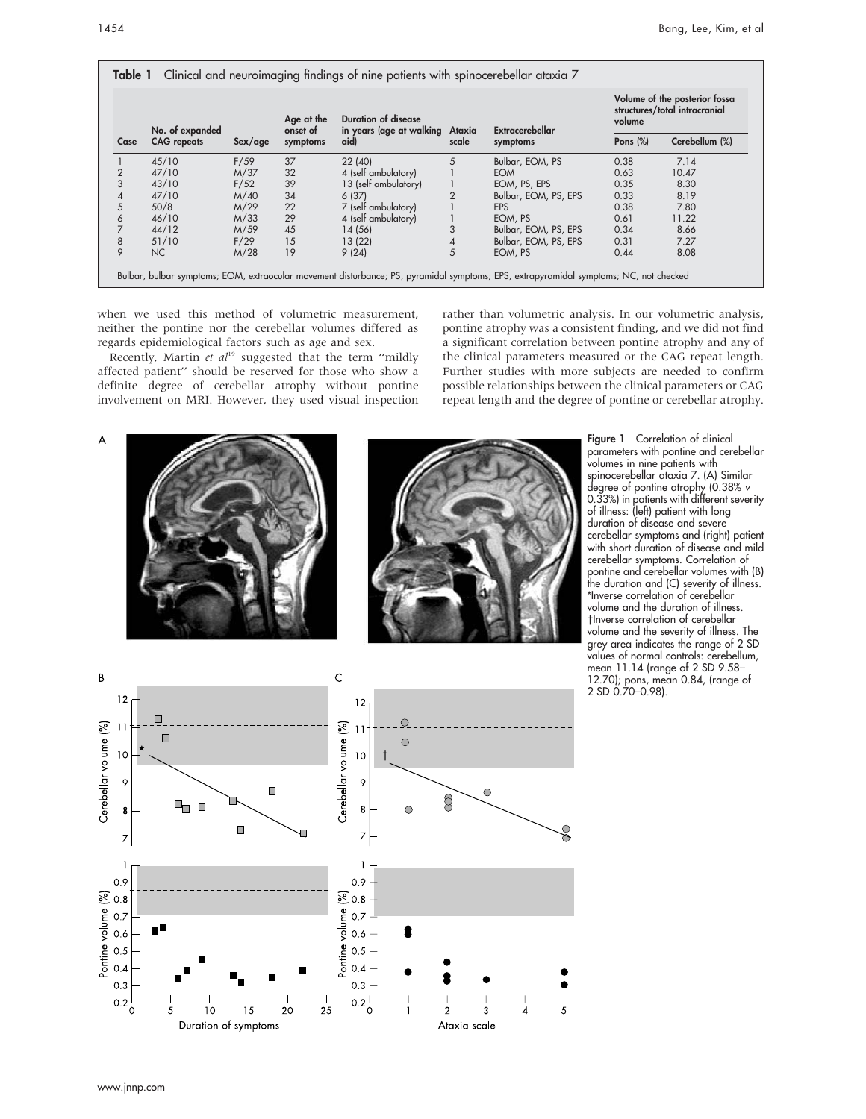| Case           | No. of expanded<br><b>CAG</b> repeats | Sex/age | Age at the<br>onset of<br>symptoms | <b>Duration of disease</b><br>in years (age at walking Ataxia<br>aid) | scale | Extracerebellar<br>symptoms | Volume of the posterior fossa<br>structures/total intracranial<br>volume |                |
|----------------|---------------------------------------|---------|------------------------------------|-----------------------------------------------------------------------|-------|-----------------------------|--------------------------------------------------------------------------|----------------|
|                |                                       |         |                                    |                                                                       |       |                             | Pons $(\%)$                                                              | Cerebellum (%) |
|                | 45/10                                 | F/59    | 37                                 | 22 (40)                                                               | 5     | Bulbar, EOM, PS             | 0.38                                                                     | 7.14           |
| $\overline{2}$ | 47/10                                 | M/37    | 32                                 | 4 (self ambulatory)                                                   |       | <b>EOM</b>                  | 0.63                                                                     | 10.47          |
|                | 43/10                                 | F/52    | 39                                 | 13 (self ambulatory)                                                  |       | EOM, PS, EPS                | 0.35                                                                     | 8.30           |
| 4              | 47/10                                 | M/40    | 34                                 | 6(37)                                                                 |       | Bulbar, EOM, PS, EPS        | 0.33                                                                     | 8.19           |
| 5              | 50/8                                  | M/29    | 22                                 | 7 (self ambulatory)                                                   |       | <b>EPS</b>                  | 0.38                                                                     | 7.80           |
| 6              | 46/10                                 | M/33    | 29                                 | 4 (self ambulatory)                                                   |       | EOM, PS                     | 0.61                                                                     | 11.22          |
|                | 44/12                                 | M/59    | 45                                 | 14 (56)                                                               | 3     | Bulbar, EOM, PS, EPS        | 0.34                                                                     | 8.66           |
| 8              | 51/10                                 | F/29    | 15                                 | 13(22)                                                                |       | Bulbar, EOM, PS, EPS        | 0.31                                                                     | 7.27           |
| 9              | NC                                    | M/28    | 19                                 | 9(24)                                                                 | 5     | EOM, PS                     | 0.44                                                                     | 8.08           |

when we used this method of volumetric measurement, neither the pontine nor the cerebellar volumes differed as regards epidemiological factors such as age and sex.

Recently, Martin et  $al^{19}$  suggested that the term "mildly affected patient'' should be reserved for those who show a definite degree of cerebellar atrophy without pontine involvement on MRI. However, they used visual inspection rather than volumetric analysis. In our volumetric analysis, pontine atrophy was a consistent finding, and we did not find a significant correlation between pontine atrophy and any of the clinical parameters measured or the CAG repeat length. Further studies with more subjects are needed to confirm possible relationships between the clinical parameters or CAG repeat length and the degree of pontine or cerebellar atrophy.

A





Figure 1 Correlation of clinical parameters with pontine and cerebellar volumes in nine patients with spinocerebellar ataxia 7. (A) Similar degree of pontine atrophy (0.38% v 0.33%) in patients with different severity of illness: (left) patient with long duration of disease and severe cerebellar symptoms and (right) patient with short duration of disease and mild cerebellar symptoms. Correlation of pontine and cerebellar volumes with (B) the duration and (C) severity of illness. \*Inverse correlation of cerebellar volume and the duration of illness. Inverse correlation of cerebellar volume and the severity of illness. The grey area indicates the range of 2 SD values of normal controls: cerebellum, mean 11.14 (range of 2 SD 9.58– 12.70); pons, mean 0.84, (range of 2 SD 0.70–0.98).

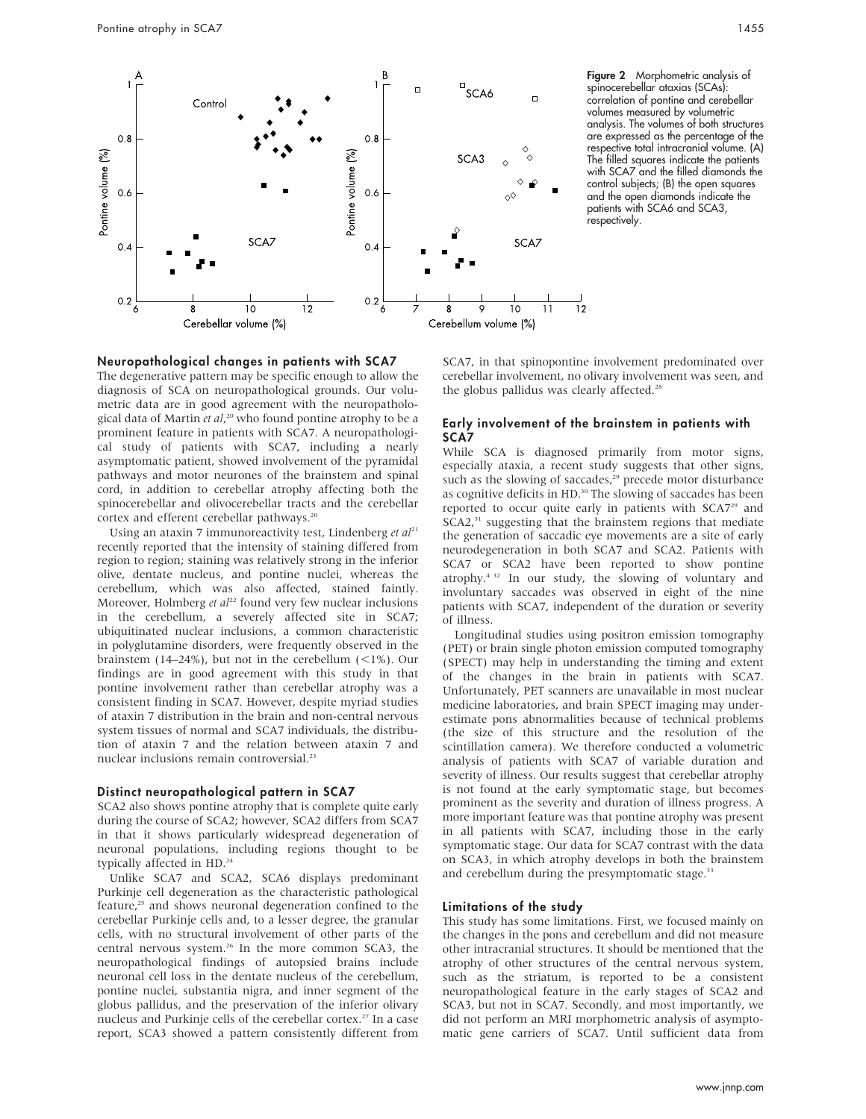

Figure 2 Morphometric analysis of spinocerebellar ataxias (SCAs): correlation of pontine and cerebellar volumes measured by volumetric analysis. The volumes of both structures are expressed as the percentage of the respective total intracranial volume. (A) The filled squares indicate the patients with SCA7 and the filled diamonds the control subjects; (B) the open squares and the open diamonds indicate the patients with SCA6 and SCA3, respectively.

#### Neuropathological changes in patients with SCA7

The degenerative pattern may be specific enough to allow the diagnosis of SCA on neuropathological grounds. Our volumetric data are in good agreement with the neuropathological data of Martin et al,<sup>20</sup> who found pontine atrophy to be a prominent feature in patients with SCA7. A neuropathological study of patients with SCA7, including a nearly asymptomatic patient, showed involvement of the pyramidal pathways and motor neurones of the brainstem and spinal cord, in addition to cerebellar atrophy affecting both the spinocerebellar and olivocerebellar tracts and the cerebellar cortex and efferent cerebellar pathways.<sup>20</sup>

Using an ataxin 7 immunoreactivity test, Lindenberg et  $aI^{21}$ recently reported that the intensity of staining differed from region to region; staining was relatively strong in the inferior olive, dentate nucleus, and pontine nuclei, whereas the cerebellum, which was also affected, stained faintly. Moreover, Holmberg et  $al^{22}$  found very few nuclear inclusions in the cerebellum, a severely affected site in SCA7; ubiquitinated nuclear inclusions, a common characteristic in polyglutamine disorders, were frequently observed in the brainstem (14–24%), but not in the cerebellum  $\left($  <1%). Our findings are in good agreement with this study in that pontine involvement rather than cerebellar atrophy was a consistent finding in SCA7. However, despite myriad studies of ataxin 7 distribution in the brain and non-central nervous system tissues of normal and SCA7 individuals, the distribution of ataxin 7 and the relation between ataxin 7 and nuclear inclusions remain controversial.<sup>23</sup>

#### Distinct neuropathological pattern in SCA7

SCA2 also shows pontine atrophy that is complete quite early during the course of SCA2; however, SCA2 differs from SCA7 in that it shows particularly widespread degeneration of neuronal populations, including regions thought to be typically affected in HD.<sup>24</sup>

Unlike SCA7 and SCA2, SCA6 displays predominant Purkinje cell degeneration as the characteristic pathological feature,<sup>25</sup> and shows neuronal degeneration confined to the cerebellar Purkinje cells and, to a lesser degree, the granular cells, with no structural involvement of other parts of the central nervous system.<sup>26</sup> In the more common SCA3, the neuropathological findings of autopsied brains include neuronal cell loss in the dentate nucleus of the cerebellum, pontine nuclei, substantia nigra, and inner segment of the globus pallidus, and the preservation of the inferior olivary nucleus and Purkinje cells of the cerebellar cortex.<sup>27</sup> In a case report, SCA3 showed a pattern consistently different from SCA7, in that spinopontine involvement predominated over cerebellar involvement, no olivary involvement was seen, and the globus pallidus was clearly affected.<sup>28</sup>

# Early involvement of the brainstem in patients with SCA7

While SCA is diagnosed primarily from motor signs, especially ataxia, a recent study suggests that other signs, such as the slowing of saccades,<sup>29</sup> precede motor disturbance as cognitive deficits in HD.<sup>30</sup> The slowing of saccades has been reported to occur quite early in patients with SCA7<sup>29</sup> and  $SCA2<sup>31</sup>$  suggesting that the brainstem regions that mediate the generation of saccadic eye movements are a site of early neurodegeneration in both SCA7 and SCA2. Patients with SCA7 or SCA2 have been reported to show pontine atrophy.4 32 In our study, the slowing of voluntary and involuntary saccades was observed in eight of the nine patients with SCA7, independent of the duration or severity of illness.

Longitudinal studies using positron emission tomography (PET) or brain single photon emission computed tomography (SPECT) may help in understanding the timing and extent of the changes in the brain in patients with SCA7. Unfortunately, PET scanners are unavailable in most nuclear medicine laboratories, and brain SPECT imaging may underestimate pons abnormalities because of technical problems (the size of this structure and the resolution of the scintillation camera). We therefore conducted a volumetric analysis of patients with SCA7 of variable duration and severity of illness. Our results suggest that cerebellar atrophy is not found at the early symptomatic stage, but becomes prominent as the severity and duration of illness progress. A more important feature was that pontine atrophy was present in all patients with SCA7, including those in the early symptomatic stage. Our data for SCA7 contrast with the data on SCA3, in which atrophy develops in both the brainstem and cerebellum during the presymptomatic stage.<sup>33</sup>

# Limitations of the study

This study has some limitations. First, we focused mainly on the changes in the pons and cerebellum and did not measure other intracranial structures. It should be mentioned that the atrophy of other structures of the central nervous system, such as the striatum, is reported to be a consistent neuropathological feature in the early stages of SCA2 and SCA3, but not in SCA7. Secondly, and most importantly, we did not perform an MRI morphometric analysis of asymptomatic gene carriers of SCA7. Until sufficient data from